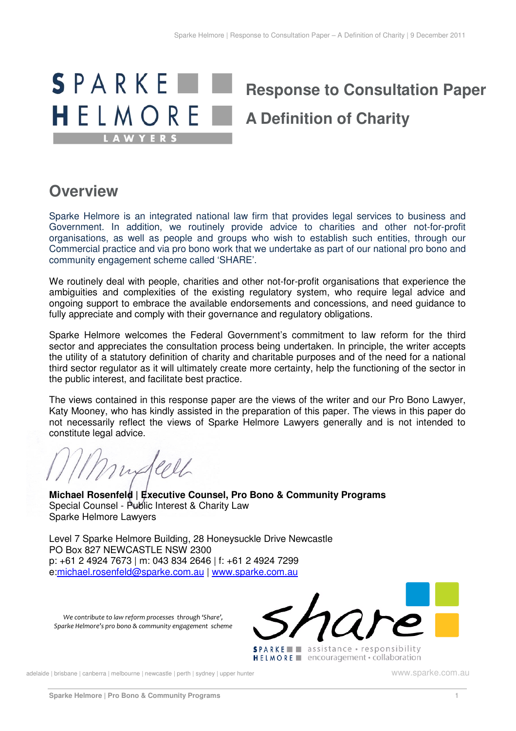

# **Overview**

 Sparke Helmore is an integrated national law firm that provides legal services to business and Government. In addition, we routinely provide advice to charities and other not-for-profit organisations, as well as people and groups who wish to establish such entities, through our Commercial practice and via pro bono work that we undertake as part of our national pro bono and community engagement scheme called 'SHARE'.

 We routinely deal with people, charities and other not-for-profit organisations that experience the ambiguities and complexities of the existing regulatory system, who require legal advice and ongoing support to embrace the available endorsements and concessions, and need guidance to fully appreciate and comply with their governance and regulatory obligations.

 Sparke Helmore welcomes the Federal Government's commitment to law reform for the third sector and appreciates the consultation process being undertaken. In principle, the writer accepts the utility of a statutory definition of charity and charitable purposes and of the need for a national third sector regulator as it will ultimately create more certainty, help the functioning of the sector in the public interest, and facilitate best practice.

 The views contained in this response paper are the views of the writer and our Pro Bono Lawyer, Katy Mooney, who has kindly assisted in the preparation of this paper. The views in this paper do not necessarily reflect the views of Sparke Helmore Lawyers generally and is not intended to constitute legal advice.

Indeel

 **Michael Rosenfeld | Executive Counsel, Pro Bono & Community Programs**  Special Counsel - Public Interest & Charity Law Sparke Helmore Lawyers

 Level 7 Sparke Helmore Building, 28 Honeysuckle Drive Newcastle PO Box 827 NEWCASTLE NSW 2300 p: +61 2 4924 7673 | m: 043 834 2646 | f: +61 2 4924 7299 e:michael.rosenfeld@sparke.com.au | www.sparke.com.au

 *We contribute to law reform processes through 'Share', Sparke Helmore's pro bono & community engagement scheme*



adelaide | brisbane | canberra | melbourne | newcastle | perth | sydney | upper hunter www.sparke.com.au www.sparke.com.au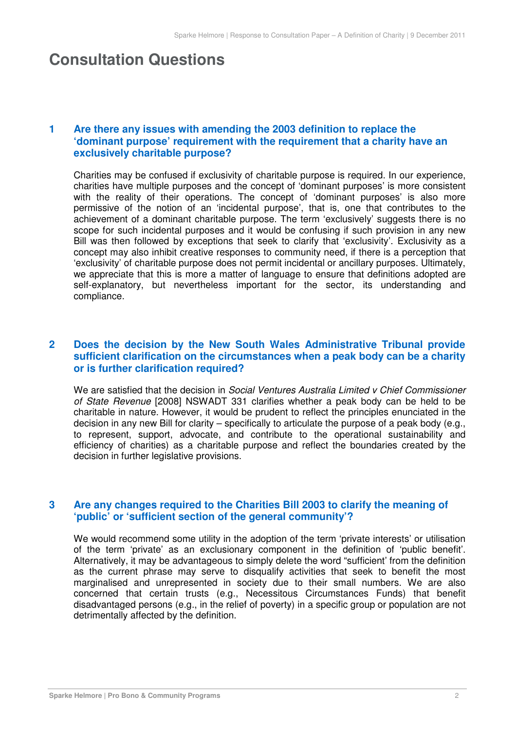# **Consultation Questions**

## **'dominant purpose' requirement with the requirement that a charity have an exclusively charitable purpose?**  Are there any issues with amending the 2003 definition to replace the

 Charities may be confused if exclusivity of charitable purpose is required. In our experience, charities have multiple purposes and the concept of 'dominant purposes' is more consistent with the reality of their operations. The concept of 'dominant purposes' is also more permissive of the notion of an 'incidental purpose', that is, one that contributes to the achievement of a dominant charitable purpose. The term 'exclusively' suggests there is no scope for such incidental purposes and it would be confusing if such provision in any new Bill was then followed by exceptions that seek to clarify that 'exclusivity'. Exclusivity as a concept may also inhibit creative responses to community need, if there is a perception that 'exclusivity' of charitable purpose does not permit incidental or ancillary purposes. Ultimately, we appreciate that this is more a matter of language to ensure that definitions adopted are self-explanatory, but nevertheless important for the sector, its understanding and compliance.

### **sufficient clarification on the circumstances when a peak body can be a charity or is further clarification required?**  Does the decision by the New South Wales Administrative Tribunal provide

We are satisfied that the decision in Social Ventures Australia Limited v Chief Commissioner of State Revenue [2008] NSWADT 331 clarifies whether a peak body can be held to be charitable in nature. However, it would be prudent to reflect the principles enunciated in the decision in any new Bill for clarity – specifically to articulate the purpose of a peak body (e.g., to represent, support, advocate, and contribute to the operational sustainability and efficiency of charities) as a charitable purpose and reflect the boundaries created by the decision in further legislative provisions.

#### **'public' or 'sufficient section of the general community'?**  Are any changes required to the Charities Bill 2003 to clarify the meaning of

 We would recommend some utility in the adoption of the term 'private interests' or utilisation of the term 'private' as an exclusionary component in the definition of 'public benefit'. Alternatively, it may be advantageous to simply delete the word "sufficient' from the definition as the current phrase may serve to disqualify activities that seek to benefit the most marginalised and unrepresented in society due to their small numbers. We are also concerned that certain trusts (e.g., Necessitous Circumstances Funds) that benefit disadvantaged persons (e.g., in the relief of poverty) in a specific group or population are not detrimentally affected by the definition.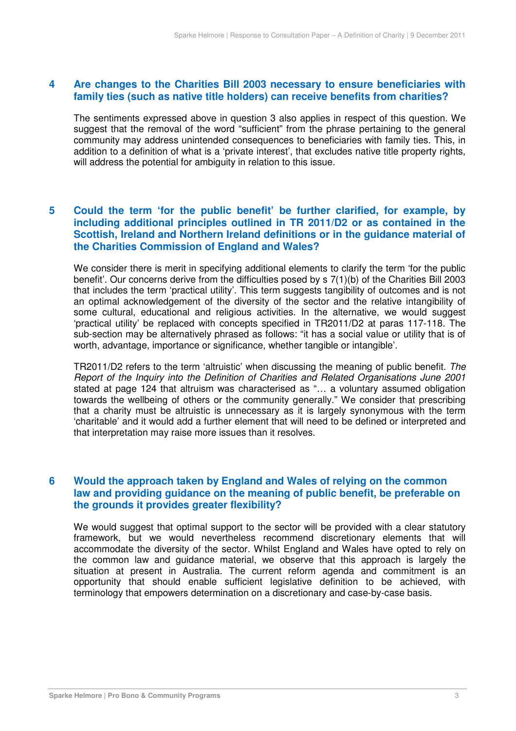#### **family ties (such as native title holders) can receive benefits from charities?**  Are changes to the Charities Bill 2003 necessary to ensure beneficiaries with

 The sentiments expressed above in question 3 also applies in respect of this question. We suggest that the removal of the word "sufficient" from the phrase pertaining to the general community may address unintended consequences to beneficiaries with family ties. This, in addition to a definition of what is a 'private interest', that excludes native title property rights, will address the potential for ambiguity in relation to this issue.

# **including additional principles outlined in TR 2011/D2 or as contained in the Scottish, Ireland and Northern Ireland definitions or in the guidance material of the Charities Commission of England and Wales?**  Could the term 'for the public benefit' be further clarified, for example, by

 We consider there is merit in specifying additional elements to clarify the term 'for the public benefit'. Our concerns derive from the difficulties posed by s 7(1)(b) of the Charities Bill 2003 that includes the term 'practical utility'. This term suggests tangibility of outcomes and is not an optimal acknowledgement of the diversity of the sector and the relative intangibility of some cultural, educational and religious activities. In the alternative, we would suggest 'practical utility' be replaced with concepts specified in TR2011/D2 at paras 117-118. The sub-section may be alternatively phrased as follows: "it has a social value or utility that is of worth, advantage, importance or significance, whether tangible or intangible'.

TR2011/D2 refers to the term 'altruistic' when discussing the meaning of public benefit. The Report of the Inquiry into the Definition of Charities and Related Organisations June 2001 stated at page 124 that altruism was characterised as "… a voluntary assumed obligation towards the wellbeing of others or the community generally." We consider that prescribing that a charity must be altruistic is unnecessary as it is largely synonymous with the term 'charitable' and it would add a further element that will need to be defined or interpreted and that interpretation may raise more issues than it resolves.

### **law and providing guidance on the meaning of public benefit, be preferable on the grounds it provides greater flexibility? Would the approach taken by England and Wales of relying on the common**

 We would suggest that optimal support to the sector will be provided with a clear statutory framework, but we would nevertheless recommend discretionary elements that will accommodate the diversity of the sector. Whilst England and Wales have opted to rely on the common law and guidance material, we observe that this approach is largely the situation at present in Australia. The current reform agenda and commitment is an opportunity that should enable sufficient legislative definition to be achieved, with terminology that empowers determination on a discretionary and case-by-case basis.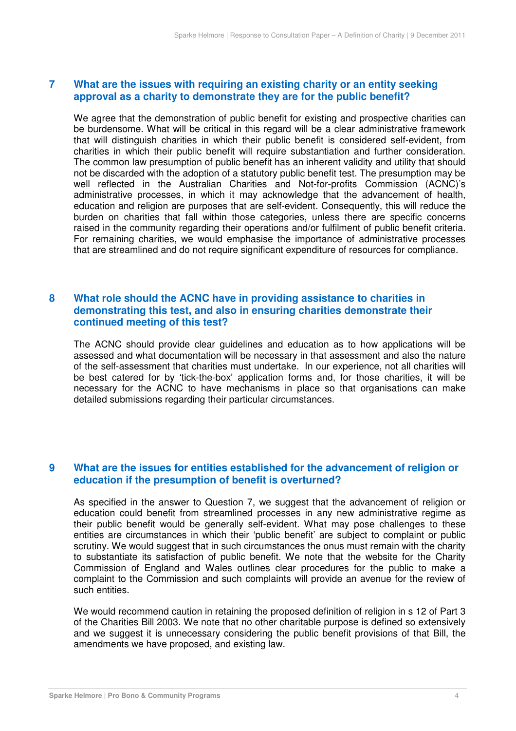#### **approval as a charity to demonstrate they are for the public benefit?**  *What are the issues with requiring an existing charity or an entity seeking*

 We agree that the demonstration of public benefit for existing and prospective charities can be burdensome. What will be critical in this regard will be a clear administrative framework that will distinguish charities in which their public benefit is considered self-evident, from charities in which their public benefit will require substantiation and further consideration. The common law presumption of public benefit has an inherent validity and utility that should not be discarded with the adoption of a statutory public benefit test. The presumption may be well reflected in the Australian Charities and Not-for-profits Commission (ACNC)'s administrative processes, in which it may acknowledge that the advancement of health, education and religion are purposes that are self-evident. Consequently, this will reduce the burden on charities that fall within those categories, unless there are specific concerns raised in the community regarding their operations and/or fulfilment of public benefit criteria. For remaining charities, we would emphasise the importance of administrative processes that are streamlined and do not require significant expenditure of resources for compliance. Sparke Helmore | Response to Consultation Paper – A Definition of Charity | 9 December 2011<br> **9 approval as a charity to demonstrate they are for the public benefit?<br>
We agree that the demonstration of public benefit for e** 

### **demonstrating this test, and also in ensuring charities demonstrate their continued meeting of this test?**  What role should the ACNC have in providing assistance to charities in

 The ACNC should provide clear guidelines and education as to how applications will be assessed and what documentation will be necessary in that assessment and also the nature of the self-assessment that charities must undertake. In our experience, not all charities will be best catered for by 'tick-the-box' application forms and, for those charities, it will be necessary for the ACNC to have mechanisms in place so that organisations can make detailed submissions regarding their particular circumstances.

#### **education if the presumption of benefit is overturned? What are the issues for entities established for the advancement of religion or**

 As specified in the answer to Question 7, we suggest that the advancement of religion or education could benefit from streamlined processes in any new administrative regime as their public benefit would be generally self-evident. What may pose challenges to these entities are circumstances in which their 'public benefit' are subject to complaint or public scrutiny. We would suggest that in such circumstances the onus must remain with the charity to substantiate its satisfaction of public benefit. We note that the website for the Charity Commission of England and Wales outlines clear procedures for the public to make a complaint to the Commission and such complaints will provide an avenue for the review of such entities.

 We would recommend caution in retaining the proposed definition of religion in s 12 of Part 3 of the Charities Bill 2003. We note that no other charitable purpose is defined so extensively and we suggest it is unnecessary considering the public benefit provisions of that Bill, the amendments we have proposed, and existing law.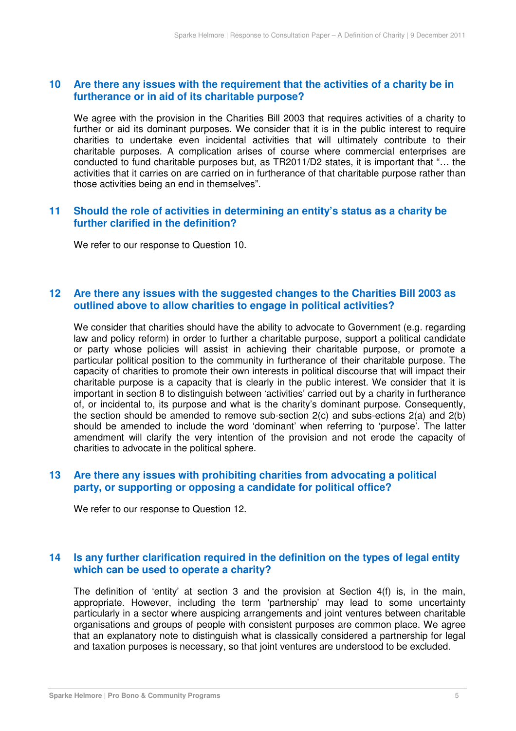#### $10$  **furtherance or in aid of its charitable purpose?**  Are there any issues with the requirement that the activities of a charity be in

 We agree with the provision in the Charities Bill 2003 that requires activities of a charity to further or aid its dominant purposes. We consider that it is in the public interest to require charities to undertake even incidental activities that will ultimately contribute to their charitable purposes. A complication arises of course where commercial enterprises are conducted to fund charitable purposes but, as TR2011/D2 states, it is important that "… the activities that it carries on are carried on in furtherance of that charitable purpose rather than those activities being an end in themselves".

#### $11$  **further clarified in the definition? 111** Should the role of activities in determining an entity's status as a charity be

We refer to our response to Question 10.

#### $12<sup>7</sup>$  **outlined above to allow charities to engage in political activities?**  Are there any issues with the suggested changes to the Charities Bill 2003 as

 We consider that charities should have the ability to advocate to Government (e.g. regarding law and policy reform) in order to further a charitable purpose, support a political candidate or party whose policies will assist in achieving their charitable purpose, or promote a particular political position to the community in furtherance of their charitable purpose. The capacity of charities to promote their own interests in political discourse that will impact their charitable purpose is a capacity that is clearly in the public interest. We consider that it is important in section 8 to distinguish between 'activities' carried out by a charity in furtherance of, or incidental to, its purpose and what is the charity's dominant purpose. Consequently, the section should be amended to remove sub-section 2(c) and subs-ections 2(a) and 2(b) should be amended to include the word 'dominant' when referring to 'purpose'. The latter amendment will clarify the very intention of the provision and not erode the capacity of charities to advocate in the political sphere.

#### $13$  **party, or supporting or opposing a candidate for political office?**  Are there any issues with prohibiting charities from advocating a political

We refer to our response to Question 12.

#### $14$  **which can be used to operate a charity? 14** Is any further clarification required in the definition on the types of legal entity

 The definition of 'entity' at section 3 and the provision at Section 4(f) is, in the main, appropriate. However, including the term 'partnership' may lead to some uncertainty particularly in a sector where auspicing arrangements and joint ventures between charitable organisations and groups of people with consistent purposes are common place. We agree that an explanatory note to distinguish what is classically considered a partnership for legal and taxation purposes is necessary, so that joint ventures are understood to be excluded.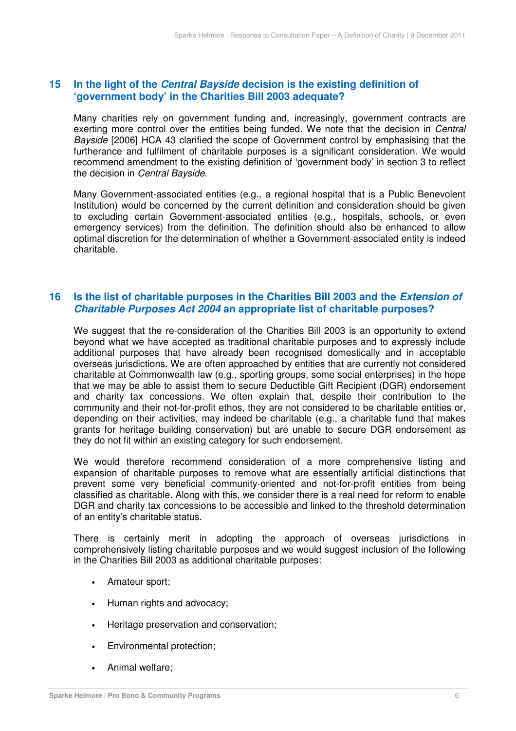#### $15$  **'government body' in the Charities Bill 2003 adequate?**  In the light of the *Central Bayside* decision is the existing definition of

 Many charities rely on government funding and, increasingly, government contracts are exerting more control over the entities being funded. We note that the decision in Central Bayside [2006] HCA 43 clarified the scope of Government control by emphasising that the furtherance and fulfilment of charitable purposes is a significant consideration. We would recommend amendment to the existing definition of 'government body' in section 3 to reflect the decision in *Central Bayside*.

 Many Government-associated entities (e.g., a regional hospital that is a Public Benevolent Institution) would be concerned by the current definition and consideration should be given to excluding certain Government-associated entities (e.g., hospitals, schools, or even emergency services) from the definition. The definition should also be enhanced to allow optimal discretion for the determination of whether a Government-associated entity is indeed charitable.

#### $16$  **Charitable Purposes Act 2004 an appropriate list of charitable purposes? 15 the list of charitable purposes in the Charities Bill 2003 and the** *Extension of*

 We suggest that the re-consideration of the Charities Bill 2003 is an opportunity to extend beyond what we have accepted as traditional charitable purposes and to expressly include additional purposes that have already been recognised domestically and in acceptable overseas jurisdictions. We are often approached by entities that are currently not considered charitable at Commonwealth law (e.g., sporting groups, some social enterprises) in the hope that we may be able to assist them to secure Deductible Gift Recipient (DGR) endorsement and charity tax concessions. We often explain that, despite their contribution to the community and their not-for-profit ethos, they are not considered to be charitable entities or, depending on their activities, may indeed be charitable (e.g., a charitable fund that makes grants for heritage building conservation) but are unable to secure DGR endorsement as they do not fit within an existing category for such endorsement.

 We would therefore recommend consideration of a more comprehensive listing and expansion of charitable purposes to remove what are essentially artificial distinctions that prevent some very beneficial community-oriented and not-for-profit entities from being classified as charitable. Along with this, we consider there is a real need for reform to enable DGR and charity tax concessions to be accessible and linked to the threshold determination of an entity's charitable status.

 There is certainly merit in adopting the approach of overseas jurisdictions in comprehensively listing charitable purposes and we would suggest inclusion of the following in the Charities Bill 2003 as additional charitable purposes:

- Amateur sport;
- Human rights and advocacy;
- Heritage preservation and conservation;
- Environmental protection;
- Animal welfare;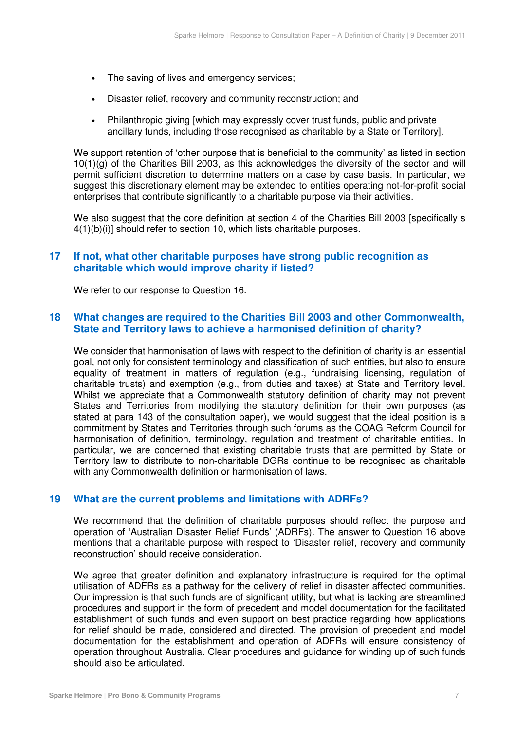- • The saving of lives and emergency services;
- • Disaster relief, recovery and community reconstruction; and
- Philanthropic giving [which may expressly cover trust funds, public and private ancillary funds, including those recognised as charitable by a State or Territory].

 We support retention of 'other purpose that is beneficial to the community' as listed in section 10(1)(g) of the Charities Bill 2003, as this acknowledges the diversity of the sector and will permit sufficient discretion to determine matters on a case by case basis. In particular, we suggest this discretionary element may be extended to entities operating not-for-profit social enterprises that contribute significantly to a charitable purpose via their activities.

 We also suggest that the core definition at section 4 of the Charities Bill 2003 [specifically s 4(1)(b)(i)] should refer to section 10, which lists charitable purposes.

#### $17$  **charitable which would improve charity if listed?**  If not, what other charitable purposes have strong public recognition as

We refer to our response to Question 16.

#### **State and Territory laws to achieve a harmonised definition of charity? What changes are required to the Charities Bill 2003 and other Commonwealth,**

 We consider that harmonisation of laws with respect to the definition of charity is an essential goal, not only for consistent terminology and classification of such entities, but also to ensure equality of treatment in matters of regulation (e.g., fundraising licensing, regulation of charitable trusts) and exemption (e.g., from duties and taxes) at State and Territory level. Whilst we appreciate that a Commonwealth statutory definition of charity may not prevent States and Territories from modifying the statutory definition for their own purposes (as stated at para 143 of the consultation paper), we would suggest that the ideal position is a commitment by States and Territories through such forums as the COAG Reform Council for harmonisation of definition, terminology, regulation and treatment of charitable entities. In particular, we are concerned that existing charitable trusts that are permitted by State or Territory law to distribute to non-charitable DGRs continue to be recognised as charitable with any Commonwealth definition or harmonisation of laws.

#### $19$ **19 What are the current problems and limitations with ADRFs?**

 We recommend that the definition of charitable purposes should reflect the purpose and operation of 'Australian Disaster Relief Funds' (ADRFs). The answer to Question 16 above mentions that a charitable purpose with respect to 'Disaster relief, recovery and community reconstruction' should receive consideration.

 We agree that greater definition and explanatory infrastructure is required for the optimal utilisation of ADFRs as a pathway for the delivery of relief in disaster affected communities. Our impression is that such funds are of significant utility, but what is lacking are streamlined procedures and support in the form of precedent and model documentation for the facilitated establishment of such funds and even support on best practice regarding how applications for relief should be made, considered and directed. The provision of precedent and model documentation for the establishment and operation of ADFRs will ensure consistency of operation throughout Australia. Clear procedures and guidance for winding up of such funds should also be articulated.